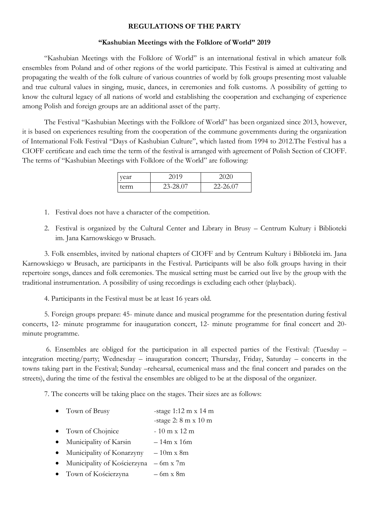## **REGULATIONS OF THE PARTY**

## **"Kashubian Meetings with the Folklore of World" 2019**

"Kashubian Meetings with the Folklore of World" is an international festival in which amateur folk ensembles from Poland and of other regions of the world participate. This Festival is aimed at cultivating and propagating the wealth of the folk culture of various countries of world by folk groups presenting most valuable and true cultural values in singing, music, dances, in ceremonies and folk customs. A possibility of getting to know the cultural legacy of all nations of world and establishing the cooperation and exchanging of experience among Polish and foreign groups are an additional asset of the party.

The Festival "Kashubian Meetings with the Folklore of World" has been organized since 2013, however, it is based on experiences resulting from the cooperation of the commune governments during the organization of International Folk Festival "Days of Kashubian Culture", which lasted from 1994 to 2012.The Festival has a CIOFF certificate and each time the term of the festival is arranged with agreement of Polish Section of CIOFF. The terms of "Kashubian Meetings with Folklore of the World" are following:

| vear | 2019     |          |
|------|----------|----------|
| term | 23-28.07 | 22-26.07 |

- 1. Festival does not have a character of the competition.
- 2. Festival is organized by the Cultural Center and Library in Brusy Centrum Kultury i Biblioteki im. Jana Karnowskiego w Brusach.

3. Folk ensembles, invited by national chapters of CIOFF and by Centrum Kultury i Biblioteki im. Jana Karnowskiego w Brusach, are participants in the Festival. Participants will be also folk groups having in their repertoire songs, dances and folk ceremonies. The musical setting must be carried out live by the group with the traditional instrumentation. A possibility of using recordings is excluding each other (playback).

4. Participants in the Festival must be at least 16 years old.

5. Foreign groups prepare: 45- minute dance and musical programme for the presentation during festival concerts, 12- minute programme for inauguration concert, 12- minute programme for final concert and 20 minute programme.

6. Ensembles are obliged for the participation in all expected parties of the Festival: (Tuesday – integration meeting/party; Wednesday – inauguration concert; Thursday, Friday, Saturday – concerts in the towns taking part in the Festival; Sunday –rehearsal, ecumenical mass and the final concert and parades on the streets), during the time of the festival the ensembles are obliged to be at the disposal of the organizer.

7. The concerts will be taking place on the stages. Their sizes are as follows:

- Town of Brusy -stage 1:12 m x 14 m
	- -stage 2: 8 m x 10 m
- Town of Chojnice  $-10 \text{ m x } 12 \text{ m}$
- Municipality of Karsin 14m x 16m
- Municipality of Konarzyny  $-10m \times 8m$
- Municipality of Kościerzyna 6m x 7m
- Town of Kościerzyna 6m x 8m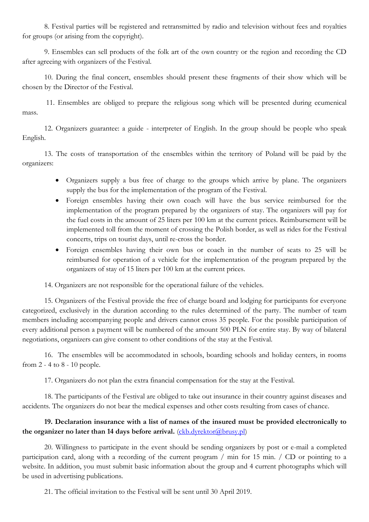8. Festival parties will be registered and retransmitted by radio and television without fees and royalties for groups (or arising from the copyright).

9. Ensembles can sell products of the folk art of the own country or the region and recording the CD after agreeing with organizers of the Festival.

10. During the final concert, ensembles should present these fragments of their show which will be chosen by the Director of the Festival.

11. Ensembles are obliged to prepare the religious song which will be presented during ecumenical mass.

12. Organizers guarantee: a guide - interpreter of English. In the group should be people who speak English.

13. The costs of transportation of the ensembles within the territory of Poland will be paid by the organizers:

- Organizers supply a bus free of charge to the groups which arrive by plane. The organizers supply the bus for the implementation of the program of the Festival.
- Foreign ensembles having their own coach will have the bus service reimbursed for the implementation of the program prepared by the organizers of stay. The organizers will pay for the fuel costs in the amount of 25 liters per 100 km at the current prices. Reimbursement will be implemented toll from the moment of crossing the Polish border, as well as rides for the Festival concerts, trips on tourist days, until re-cross the border.
- Foreign ensembles having their own bus or coach in the number of seats to 25 will be reimbursed for operation of a vehicle for the implementation of the program prepared by the organizers of stay of 15 liters per 100 km at the current prices.

14. Organizers are not responsible for the operational failure of the vehicles.

15. Organizers of the Festival provide the free of charge board and lodging for participants for everyone categorized, exclusively in the duration according to the rules determined of the party. The number of team members including accompanying people and drivers cannot cross 35 people. For the possible participation of every additional person a payment will be numbered of the amount 500 PLN for entire stay. By way of bilateral negotiations, organizers can give consent to other conditions of the stay at the Festival.

16. The ensembles will be accommodated in schools, boarding schools and holiday centers, in rooms from 2 - 4 to 8 - 10 people.

17. Organizers do not plan the extra financial compensation for the stay at the Festival.

18. The participants of the Festival are obliged to take out insurance in their country against diseases and accidents. The organizers do not bear the medical expenses and other costs resulting from cases of chance.

## **19. Declaration insurance with a list of names of the insured must be provided electronically to**  the organizer no later than 14 days before arrival. [\(ckb.dyrektor@brusy.pl\)](mailto:ckb.dyrektor@brusy.pl)

20. Willingness to participate in the event should be sending organizers by post or e-mail a completed participation card, along with a recording of the current program / min for 15 min. / CD or pointing to a website. In addition, you must submit basic information about the group and 4 current photographs which will be used in advertising publications.

21. The official invitation to the Festival will be sent until 30 April 2019.